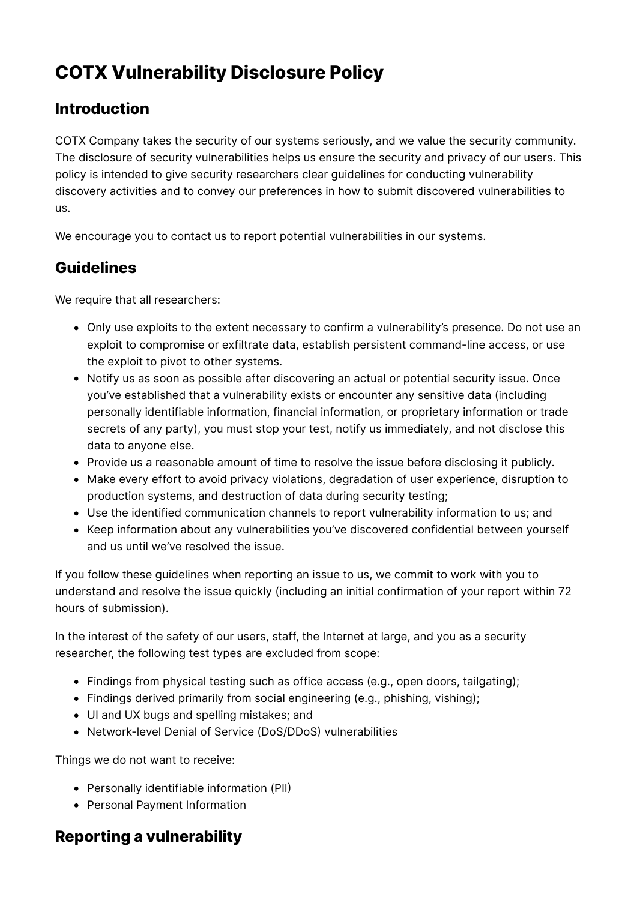# **COTX Vulnerability Disclosure Policy**

## **Introduction**

COTX Company takes the security of our systems seriously, and we value the security community. The disclosure of security vulnerabilities helps us ensure the security and privacy of our users. This policy is intended to give security researchers clear guidelines for conducting vulnerability discovery activities and to convey our preferences in how to submit discovered vulnerabilities to us.

We encourage you to contact us to report potential vulnerabilities in our systems.

### **Guidelines**

We require that all researchers:

- Only use exploits to the extent necessary to confirm a vulnerability's presence. Do not use an exploit to compromise or exfiltrate data, establish persistent command-line access, or use the exploit to pivot to other systems.
- Notify us as soon as possible after discovering an actual or potential security issue. Once you've established that a vulnerability exists or encounter any sensitive data (including personally identifiable information, financial information, or proprietary information or trade secrets of any party), you must stop your test, notify us immediately, and not disclose this data to anyone else.
- Provide us a reasonable amount of time to resolve the issue before disclosing it publicly.
- Make every effort to avoid privacy violations, degradation of user experience, disruption to production systems, and destruction of data during security testing;
- Use the identified communication channels to report vulnerability information to us; and
- Keep information about any vulnerabilities you've discovered confidential between yourself and us until we've resolved the issue.

If you follow these guidelines when reporting an issue to us, we commit to work with you to understand and resolve the issue quickly (including an initial confirmation of your report within 72 hours of submission).

In the interest of the safety of our users, staff, the Internet at large, and you as a security researcher, the following test types are excluded from scope:

- Findings from physical testing such as office access (e.g., open doors, tailgating);
- Findings derived primarily from social engineering (e.g., phishing, vishing);
- UI and UX bugs and spelling mistakes; and
- Network-level Denial of Service (DoS/DDoS) vulnerabilities

Things we do not want to receive:

- Personally identifiable information (PII)
- Personal Payment Information

## **Reporting a vulnerability**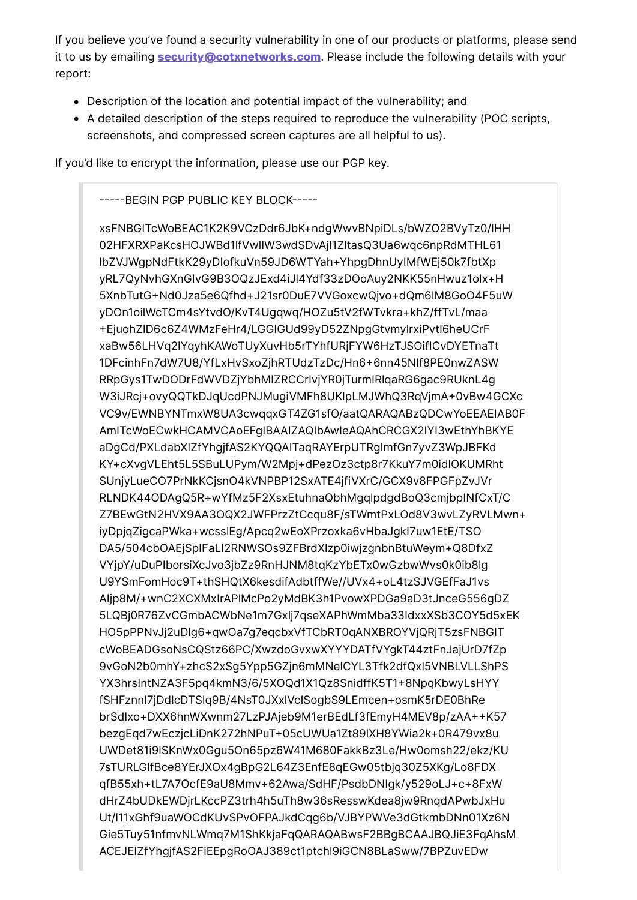If you believe you've found a security vulnerability in one of our products or platforms, please send it to us by emailing **security@cotxnetworks.com**. Please include the following details with your report:

- Description of the location and potential impact of the vulnerability; and
- A detailed description of the steps required to reproduce the vulnerability (POC scripts, screenshots, and compressed screen captures are all helpful to us).

If you'd like to encrypt the information, please use our PGP key.

-----BEGIN PGP PUBLIC KEY BLOCK-----

xsFNBGITcWoBEAC1K2K9VCzDdr6JbK+ndqWwvBNpiDLs/bWZO2BVyTz0/IHH 02HFXRXPaKcsHOJWBd1lfVwllW3wdSDvAjl1ZltasQ3Ua6wqc6npRdMTHL61 IbZVJWgpNdFtkK29yDlofkuVn59JD6WTYah+YhpgDhnUylMfWEj50k7fbtXp vRL7QvNvhGXnGlvG9B3OQzJExd4iJl4Ydf33zDOoAuv2NKK55nHwuz1olx+H 5XnbTutG+Nd0Jza5e6Qfhd+J21sr0DuE7VVGoxcwQjvo+dQm6lM8GoO4F5uW yDOn1oilWcTCm4sYtvdO/KvT4Uqqwq/HOZu5tV2fWTvkra+khZ/ffTvL/maa +EjuohZID6c6Z4WMzFeHr4/LGGIGUd99yD52ZNpgGtvmylrxiPvtl6heUCrF xaBw56LHVq2lYqyhKAWoTUyXuvHb5rTYhfURjFYW6HzTJSOifICvDYETnaTt 1DFcinhFn7dW7U8/YfLxHvSxoZjhRTUdzTzDc/Hn6+6nn45Nlf8PE0nwZASW RRpGys1TwDODrFdWVDZjYbhMIZRCCrlvjYR0jTurmlRlqaRG6gac9RUknL4g W3iJRcj+ovyQQTkDJqUcdPNJMugiVMFh8UKIpLMJWhQ3RqVjmA+0vBw4GCXc VC9v/EWNBYNTmxW8UA3cwqqxGT4ZG1sfO/aatQARAQABzQDCwYoEEAEIAB0F AmITcWoECwkHCAMVCAoEFgIBAAIZAQIbAwleAQAhCRCGX2IYI3wEthYhBKYE aDgCd/PXLdabXlZfYhgjfAS2KYQQAITaqRAYErpUTRgImfGn7yvZ3WpJBFKd KY+cXvqVLEht5L5SBuLUPym/W2Mpj+dPezOz3ctp8r7KkuY7m0idlOKUMRht SUnjyLueCO7PrNkKCjsnO4kVNPBP12SxATE4jfiVXrC/GCX9v8FPGFpZvJVr RLNDK440DAqQ5R+wYfMz5F2XsxEtuhnaQbhMqqlpdqdBoQ3cmjbplNfCxT/C Z7BEwGtN2HVX9AA3OQX2JWFPrzZtCcqu8F/sTWmtPxLOd8V3wvLZyRVLMwn+ iyDpjqZigcaPWka+wcsslEg/Apcq2wEoXPrzoxka6vHbaJgkl7uw1EtE/TSO DA5/504cbOAEjSplFaLI2RNWSOs9ZFBrdXlzp0iwjzgnbnBtuWeym+Q8DfxZ VYjpY/uDuPlborsiXcJvo3jbZz9RnHJNM8tqKzYbETx0wGzbwWvs0k0ib8lq U9YSmFomHoc9T+thSHQtX6kesdifAdbtffWe//UVx4+oL4tzSJVGEfFaJ1vs Aljp8M/+wnC2XCXMxlrAPlMcPo2yMdBK3h1PvowXPDGa9aD3tJnceG556qDZ 5LQBi0R76ZvCGmbACWbNe1m7Gxli7aseXAPhWmMba33IdxxXSb3COY5d5xEK HO5pPPNvJj2uDlq6+qwOa7q7eqcbxVfTCbRT0qANXBROYVjQRjT5zsFNBGIT cWoBEADGsoNsCQStz66PC/XwzdoGvxwXYYYDATfVYqkT44ztFnJaiUrD7fZp 9vGoN2b0mhY+zhcS2xSq5Ypp5GZjn6mMNelCYL3Tfk2dfQxl5VNBLVLLShPS YX3hrsIntNZA3F5pq4kmN3/6/5XOQd1X1Qz8SnidffK5T1+8NpqKbwyLsHYY fSHFznnl7jDdlcDTSlq9B/4NsT0JXxlVclSogbS9LEmcen+osmK5rDE0BhRe brSdlxo+DXX6hnWXwnm27LzPJAjeb9M1erBEdLf3fEmyH4MEV8p/zAA++K57 bezgEgd7wEczicLiDnK272hNPuT+05cUWUa1Zt89IXH8YWia2k+0R479vx8u UWDet81i9ISKnWx0Gqu5On65pz6W41M680FakkBz3Le/Hw0omsh22/ekz/KU 7sTURLGIfBce8YErJXOx4qBpG2L64Z3EnfE8qEGw05tbjq30Z5XKq/Lo8FDX qfB55xh+tL7A7OcfE9aU8Mmv+62Awa/SdHF/PsdbDNlqk/y529oLJ+c+8FxW dHrZ4bUDkEWDjrLKccPZ3trh4h5uTh8w36sResswKdea8jw9RnqdAPwbJxHu Ut/l11xGhf9uaWOCdKUvSPvOFPAJkdCqg6b/VJBYPWVe3dGtkmbDNn01Xz6N Gie5Tuy51nfmvNLWmq7M1ShKkjaFqQARAQABwsF2BBgBCAAJBQJiE3FqAhsM ACEJEIZfYhgjfAS2FiEEpgRoOAJ389ct1ptchl9iGCN8BLaSww/7BPZuvEDw